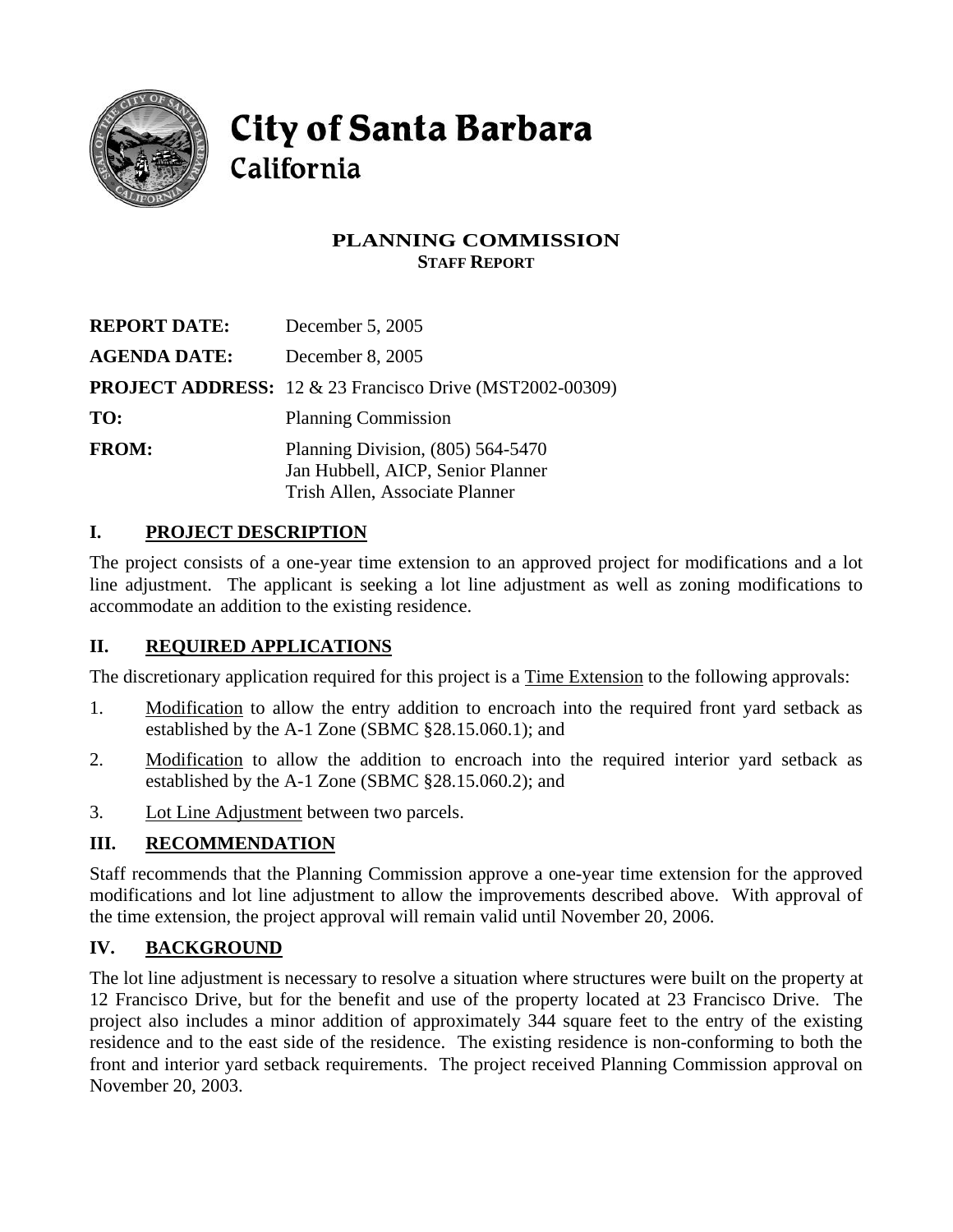

# **City of Santa Barbara** California

## **PLANNING COMMISSION STAFF REPORT**

| <b>REPORT DATE:</b> | December 5, 2005                                                                                           |
|---------------------|------------------------------------------------------------------------------------------------------------|
| <b>AGENDA DATE:</b> | December 8, 2005                                                                                           |
|                     | <b>PROJECT ADDRESS:</b> 12 & 23 Francisco Drive (MST2002-00309)                                            |
| TO:                 | <b>Planning Commission</b>                                                                                 |
| <b>FROM:</b>        | Planning Division, $(805)$ 564-5470<br>Jan Hubbell, AICP, Senior Planner<br>Trish Allen, Associate Planner |

## **I. PROJECT DESCRIPTION**

The project consists of a one-year time extension to an approved project for modifications and a lot line adjustment. The applicant is seeking a lot line adjustment as well as zoning modifications to accommodate an addition to the existing residence.

# **II. REQUIRED APPLICATIONS**

The discretionary application required for this project is a Time Extension to the following approvals:

- 1. Modification to allow the entry addition to encroach into the required front yard setback as established by the A-1 Zone (SBMC §28.15.060.1); and
- 2. Modification to allow the addition to encroach into the required interior yard setback as established by the A-1 Zone (SBMC §28.15.060.2); and
- 3. Lot Line Adjustment between two parcels.

# **III. RECOMMENDATION**

Staff recommends that the Planning Commission approve a one-year time extension for the approved modifications and lot line adjustment to allow the improvements described above. With approval of the time extension, the project approval will remain valid until November 20, 2006.

# **IV. BACKGROUND**

The lot line adjustment is necessary to resolve a situation where structures were built on the property at 12 Francisco Drive, but for the benefit and use of the property located at 23 Francisco Drive. The project also includes a minor addition of approximately 344 square feet to the entry of the existing residence and to the east side of the residence. The existing residence is non-conforming to both the front and interior yard setback requirements. The project received Planning Commission approval on November 20, 2003.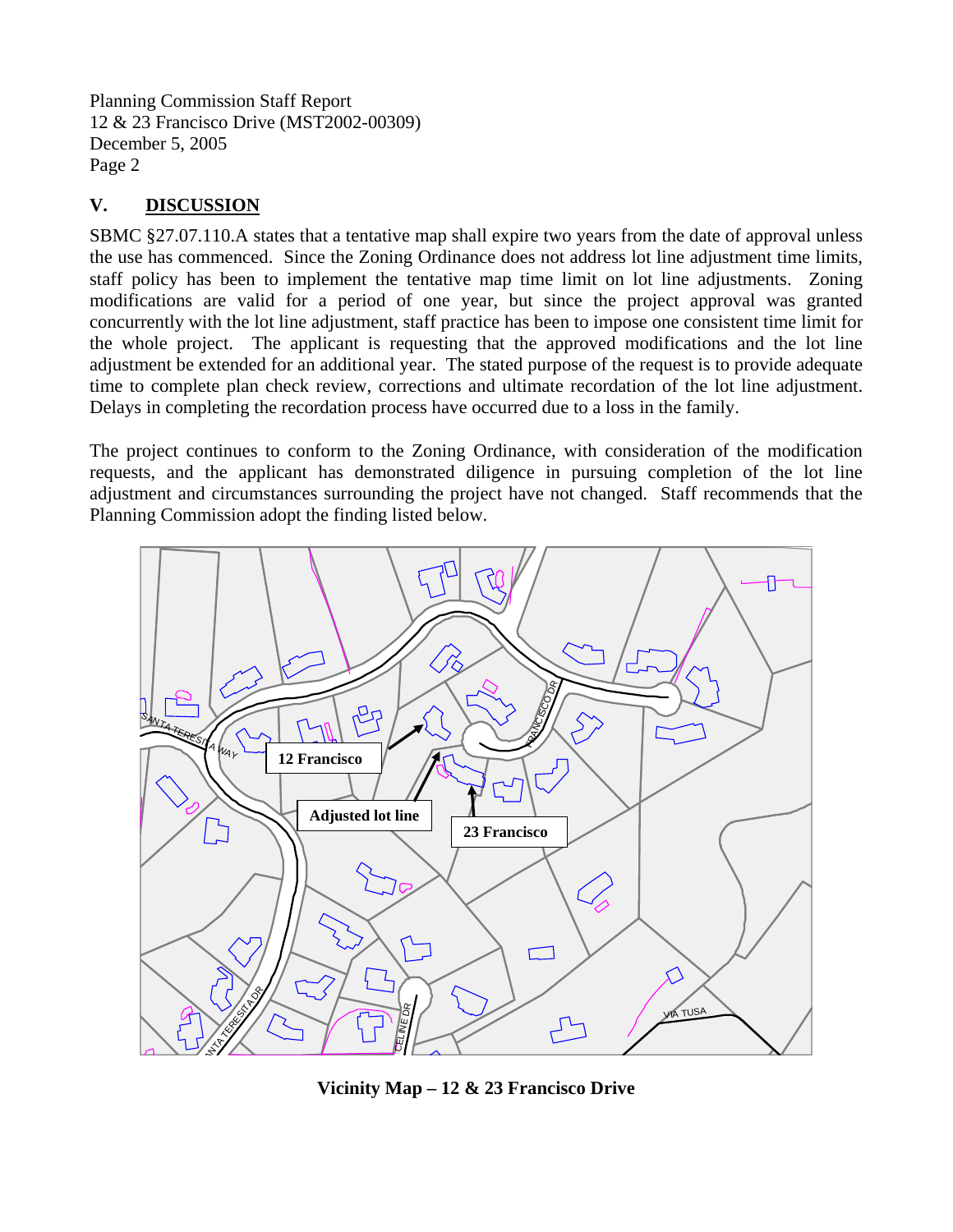Planning Commission Staff Report 12 & 23 Francisco Drive (MST2002-00309) December 5, 2005 Page 2

#### **V. DISCUSSION**

SBMC §27.07.110.A states that a tentative map shall expire two years from the date of approval unless the use has commenced. Since the Zoning Ordinance does not address lot line adjustment time limits, staff policy has been to implement the tentative map time limit on lot line adjustments. Zoning modifications are valid for a period of one year, but since the project approval was granted concurrently with the lot line adjustment, staff practice has been to impose one consistent time limit for the whole project. The applicant is requesting that the approved modifications and the lot line adjustment be extended for an additional year. The stated purpose of the request is to provide adequate time to complete plan check review, corrections and ultimate recordation of the lot line adjustment. Delays in completing the recordation process have occurred due to a loss in the family.

The project continues to conform to the Zoning Ordinance, with consideration of the modification requests, and the applicant has demonstrated diligence in pursuing completion of the lot line adjustment and circumstances surrounding the project have not changed. Staff recommends that the Planning Commission adopt the finding listed below.



**Vicinity Map – 12 & 23 Francisco Drive**